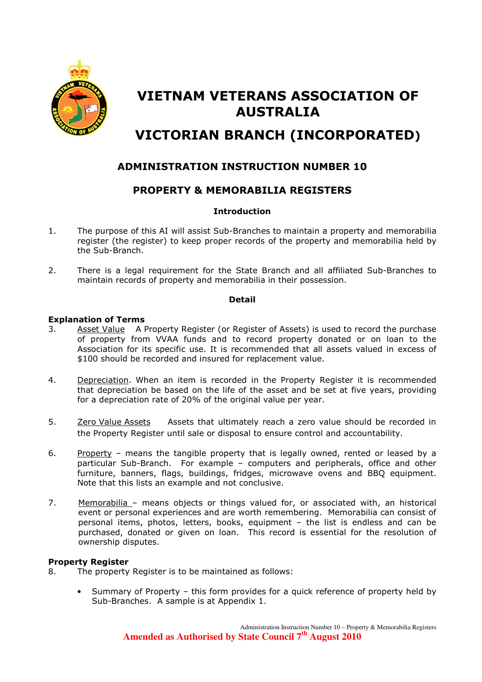

# VIETNAM VETERANS ASSOCIATION OF AUSTRALIA

## VICTORIAN BRANCH (INCORPORATED)

## ADMINISTRATION INSTRUCTION NUMBER 10

## PROPERTY & MEMORABILIA REGISTERS

#### **Introduction**

- 1. The purpose of this AI will assist Sub-Branches to maintain a property and memorabilia register (the register) to keep proper records of the property and memorabilia held by the Sub-Branch.
- 2. There is a legal requirement for the State Branch and all affiliated Sub-Branches to maintain records of property and memorabilia in their possession.

#### Detail

#### Explanation of Terms

- 3. Asset Value A Property Register (or Register of Assets) is used to record the purchase of property from VVAA funds and to record property donated or on loan to the Association for its specific use. It is recommended that all assets valued in excess of \$100 should be recorded and insured for replacement value.
- 4. Depreciation. When an item is recorded in the Property Register it is recommended that depreciation be based on the life of the asset and be set at five years, providing for a depreciation rate of 20% of the original value per year.
- 5. Zero Value Assets Assets that ultimately reach a zero value should be recorded in the Property Register until sale or disposal to ensure control and accountability.
- 6. Property means the tangible property that is legally owned, rented or leased by a particular Sub-Branch. For example – computers and peripherals, office and other furniture, banners, flags, buildings, fridges, microwave ovens and BBQ equipment. Note that this lists an example and not conclusive.
- 7. Memorabilia means objects or things valued for, or associated with, an historical event or personal experiences and are worth remembering. Memorabilia can consist of personal items, photos, letters, books, equipment – the list is endless and can be purchased, donated or given on loan. This record is essential for the resolution of ownership disputes.

#### Property Register

- 8. The property Register is to be maintained as follows:
	- Summary of Property this form provides for a quick reference of property held by Sub-Branches. A sample is at Appendix 1.

Administration Instruction Number 10 – Property & Memorabilia Registers **Amended as Authorised by State Council 7th August 2010**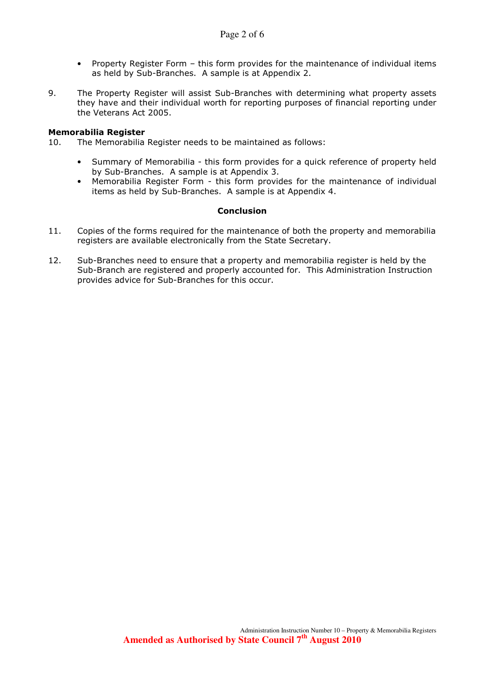- Property Register Form this form provides for the maintenance of individual items as held by Sub-Branches. A sample is at Appendix 2.
- 9. The Property Register will assist Sub-Branches with determining what property assets they have and their individual worth for reporting purposes of financial reporting under the Veterans Act 2005.

#### Memorabilia Register

- 10. The Memorabilia Register needs to be maintained as follows:
	- Summary of Memorabilia this form provides for a quick reference of property held by Sub-Branches. A sample is at Appendix 3.
	- Memorabilia Register Form this form provides for the maintenance of individual items as held by Sub-Branches. A sample is at Appendix 4.

#### **Conclusion**

- 11. Copies of the forms required for the maintenance of both the property and memorabilia registers are available electronically from the State Secretary.
- 12. Sub-Branches need to ensure that a property and memorabilia register is held by the Sub-Branch are registered and properly accounted for. This Administration Instruction provides advice for Sub-Branches for this occur.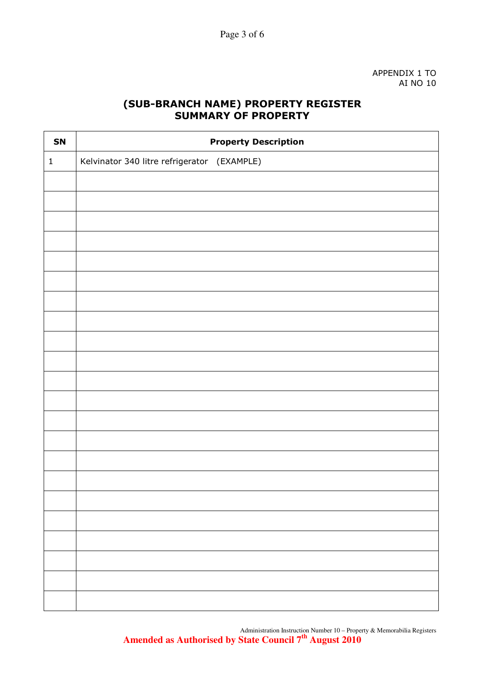APPENDIX 1 TO AI NO 10

## (SUB-BRANCH NAME) PROPERTY REGISTER SUMMARY OF PROPERTY

| SN           | <b>Property Description</b>                 |
|--------------|---------------------------------------------|
| $\mathbf{1}$ | Kelvinator 340 litre refrigerator (EXAMPLE) |
|              |                                             |
|              |                                             |
|              |                                             |
|              |                                             |
|              |                                             |
|              |                                             |
|              |                                             |
|              |                                             |
|              |                                             |
|              |                                             |
|              |                                             |
|              |                                             |
|              |                                             |
|              |                                             |
|              |                                             |
|              |                                             |
|              |                                             |
|              |                                             |
|              |                                             |
|              |                                             |
|              |                                             |
|              |                                             |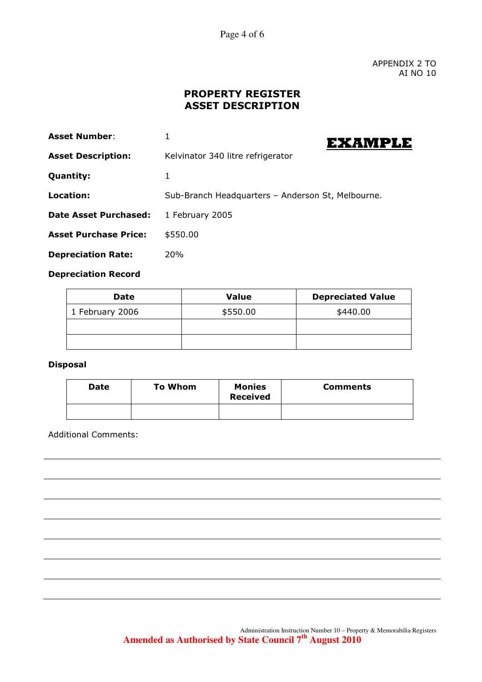Page 4 of 6

APPENDIX 2 TO AI NO 10

## PROPERTY REGISTER ASSET DESCRIPTION

| <b>Asset Number:</b>         | EXAMPLE                                           |
|------------------------------|---------------------------------------------------|
| <b>Asset Description:</b>    | Kelvinator 340 litre refrigerator                 |
| <b>Quantity:</b>             | 1                                                 |
| Location:                    | Sub-Branch Headquarters - Anderson St, Melbourne. |
| <b>Date Asset Purchased:</b> | 1 February 2005                                   |
| <b>Asset Purchase Price:</b> | \$550.00                                          |
| <b>Depreciation Rate:</b>    | <b>20%</b>                                        |

#### Depreciation Record

| <b>Date</b>     | <b>Value</b> | <b>Depreciated Value</b> |
|-----------------|--------------|--------------------------|
| 1 February 2006 | \$550.00     | \$440.00                 |
|                 |              |                          |
|                 |              |                          |

#### Disposal

| <b>Date</b> | <b>To Whom</b> | <b>Monies</b><br><b>Received</b> | <b>Comments</b> |
|-------------|----------------|----------------------------------|-----------------|
|             |                |                                  |                 |

Additional Comments: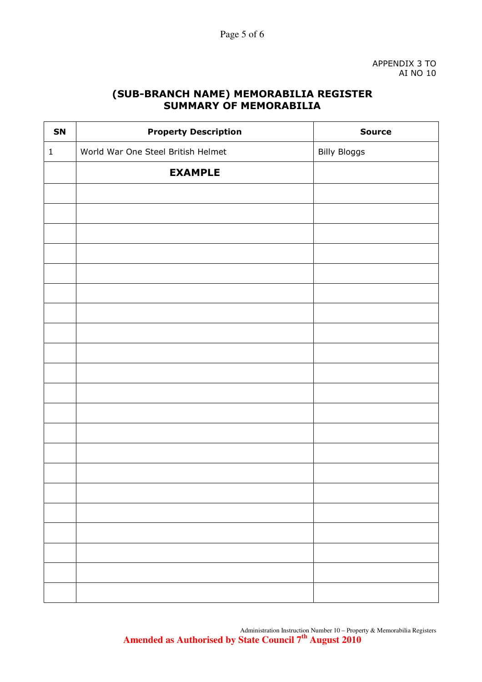### (SUB-BRANCH NAME) MEMORABILIA REGISTER SUMMARY OF MEMORABILIA

| SN           | <b>Property Description</b>        | <b>Source</b>       |
|--------------|------------------------------------|---------------------|
| $\mathbf{1}$ | World War One Steel British Helmet | <b>Billy Bloggs</b> |
|              | <b>EXAMPLE</b>                     |                     |
|              |                                    |                     |
|              |                                    |                     |
|              |                                    |                     |
|              |                                    |                     |
|              |                                    |                     |
|              |                                    |                     |
|              |                                    |                     |
|              |                                    |                     |
|              |                                    |                     |
|              |                                    |                     |
|              |                                    |                     |
|              |                                    |                     |
|              |                                    |                     |
|              |                                    |                     |
|              |                                    |                     |
|              |                                    |                     |
|              |                                    |                     |
|              |                                    |                     |
|              |                                    |                     |
|              |                                    |                     |
|              |                                    |                     |